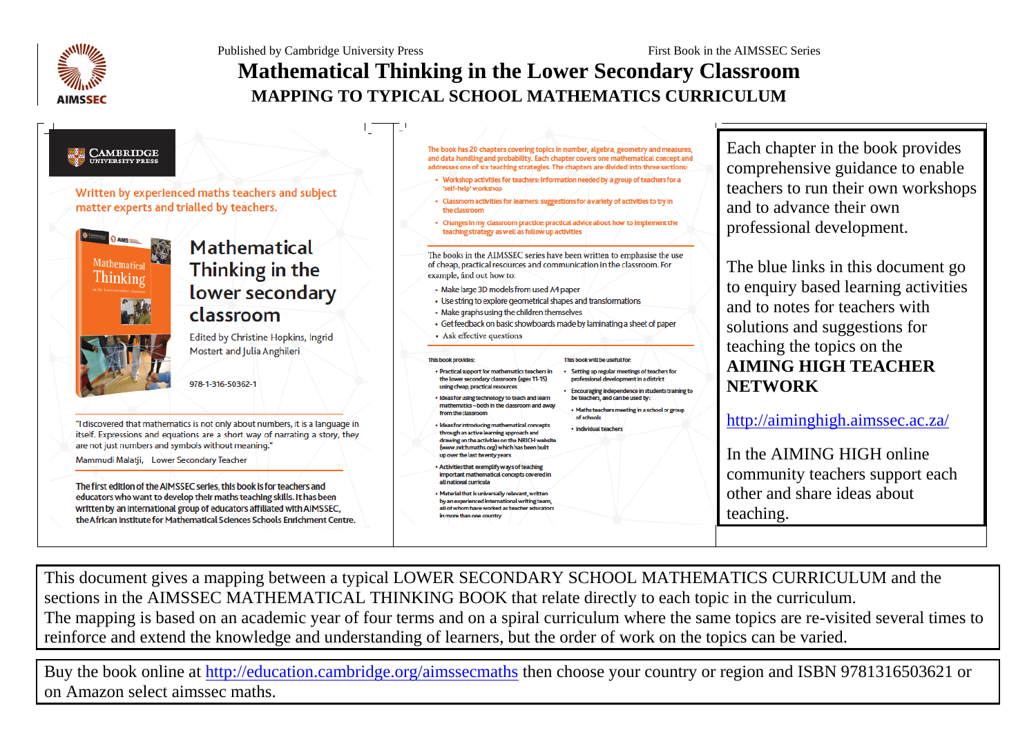Published by Cambridge University Press First Book in the AIMSSEC Series



## **Mathematical Thinking in the Lower Secondary Classroom MAPPING TO TYPICAL SCHOOL MATHEMATICS CURRICULUM**

# **EN CAMBRIDGE**

Written by experienced maths teachers and subject matter experts and trialled by teachers.



### Mathematical Thinking in the lower secondary classroom

Edited by Christine Hopkins, Ingrid Mostert and Julia Anghileri

978-1-316-50362-1

"I discovered that mathematics is not only about numbers, it is a language in itself. Expressions and equations are a short way of narrating a story, they are not just numbers and symbols without meaning."

Mammudi Malatji, Lower Secondary Teacher

The first edition of the AIMSSEC series, this book is for teachers and educators who want to develop their maths teaching skills. It has been written by an international group of educators affiliated with AIMSSEC, the African Institute for Mathematical Sciences Schools Enrichment Centre.

- The book has 20 chapters covering topics in number, algebra, geometry and measures. and data handling and probability. Each chapter covers one mathematical concept and addresses one of six teaching strategies. The chapters are divided into three sections:
- Workshop activities for teachers: information needed by a group of teachers for a 'self-help' workshop
- Classroom activities for learners: suggestions for a variety of activities to try in the classroom
- Changes in my classroom practice: practical advice about how to implement the teaching strategy as well as follow up activities

The books in the AIMSSEC series have been written to emphasise the use of cheap, practical resources and communication in the classroom. For example, find out how to:

- Make large 3D models from used A4 paper
- Use string to explore geometrical shapes and transformations
- Make graphs using the children themselves
- Get feedback on basic showboards made by laminating a sheet of paper • Ask effective questions

#### This book provides

- · Practical support for mathematics teachers in the lower secondary classroom (ages 11-15) using cheap, practical resources
- · Ideas for using technology to teach and learn mathematics - both in the classroom and away from the classroon
- Ideas for introducing mathematical concepts through an active learning approach and drawing on the activities on the NRICH website (www.nrich.maths.org) which has been built up over the last twenty years
- . Activities that exemplify ways of teaching important mathematical concepts covered in all national curricula
- . Material that is universally relevant, written by an experienced international writing team, all of whom have worked as teacher educators in more than one country

· Setting up regular meetings of teachers for professional development in a district

Encouraging independence in students training to be teachers, and can be used by:

· Maths teachers meeting in a school or group of schools · Individual teacher

This book will be useful for-

Each chapter in the book provides comprehensive guidance to enable teachers to run their own workshops and to advance their own professional development.

The blue links in this document go to enquiry based learning activities and to notes for teachers with solutions and suggestions for teaching the topics on the **AIMING HIGH TEACHER NETWORK**

<http://aiminghigh.aimssec.ac.za/>

In the AIMING HIGH online community teachers support each other and share ideas about teaching.

This document gives a mapping between a typical LOWER SECONDARY SCHOOL MATHEMATICS CURRICULUM and the sections in the AIMSSEC MATHEMATICAL THINKING BOOK that relate directly to each topic in the curriculum. The mapping is based on an academic year of four terms and on a spiral curriculum where the same topics are re-visited several times to reinforce and extend the knowledge and understanding of learners, but the order of work on the topics can be varied.

Buy the book online at<http://education.cambridge.org/aimssecmaths> then choose your country or region and ISBN 9781316503621 or on Amazon select aimssec maths.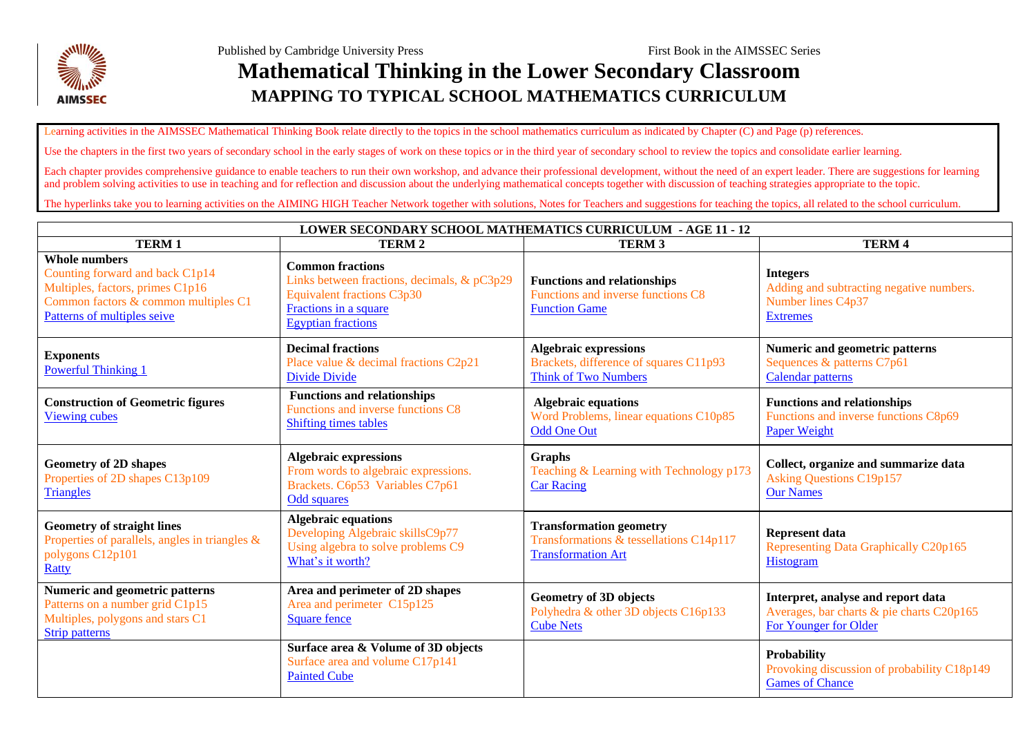

Learning activities in the AIMSSEC Mathematical Thinking Book relate directly to the topics in the school mathematics curriculum as indicated by Chapter (C) and Page (p) references.

Use the chapters in the first two years of secondary school in the early stages of work on these topics or in the third year of secondary school to review the topics and consolidate earlier learning.

Each chapter provides comprehensive guidance to enable teachers to run their own workshop, and advance their professional development, without the need of an expert leader. There are suggestions for learning and problem solving activities to use in teaching and for reflection and discussion about the underlying mathematical concepts together with discussion of teaching strategies appropriate to the topic.

The hyperlinks take you to learning activities on the AIMING HIGH Teacher Network together with solutions. Notes for Teachers and suggestions for teaching the topics, all related to the school curriculum.

| <b>LOWER SECONDARY SCHOOL MATHEMATICS CURRICULUM - AGE 11 - 12</b>                                                                                                 |                                                                                                                                                                   |                                                                                                        |                                                                                                          |  |  |  |
|--------------------------------------------------------------------------------------------------------------------------------------------------------------------|-------------------------------------------------------------------------------------------------------------------------------------------------------------------|--------------------------------------------------------------------------------------------------------|----------------------------------------------------------------------------------------------------------|--|--|--|
| <b>TERM1</b>                                                                                                                                                       | <b>TERM2</b>                                                                                                                                                      | <b>TERM 3</b>                                                                                          | <b>TERM4</b>                                                                                             |  |  |  |
| <b>Whole numbers</b><br>Counting forward and back C1p14<br>Multiples, factors, primes C1p16<br>Common factors & common multiples C1<br>Patterns of multiples seive | <b>Common fractions</b><br>Links between fractions, decimals, & pC3p29<br><b>Equivalent fractions C3p30</b><br>Fractions in a square<br><b>Egyptian fractions</b> | <b>Functions and relationships</b><br>Functions and inverse functions C8<br><b>Function Game</b>       | <b>Integers</b><br>Adding and subtracting negative numbers.<br>Number lines C4p37<br><b>Extremes</b>     |  |  |  |
| <b>Exponents</b><br><b>Powerful Thinking 1</b>                                                                                                                     | <b>Decimal fractions</b><br>Place value & decimal fractions C2p21<br>Divide Divide                                                                                | <b>Algebraic expressions</b><br>Brackets, difference of squares C11p93<br><b>Think of Two Numbers</b>  | <b>Numeric and geometric patterns</b><br>Sequences & patterns C7p61<br>Calendar patterns                 |  |  |  |
| <b>Construction of Geometric figures</b><br><b>Viewing cubes</b>                                                                                                   | <b>Functions and relationships</b><br>Functions and inverse functions C8<br><b>Shifting times tables</b>                                                          | <b>Algebraic equations</b><br>Word Problems, linear equations C10p85<br><b>Odd One Out</b>             | <b>Functions and relationships</b><br>Functions and inverse functions C8p69<br>Paper Weight              |  |  |  |
| <b>Geometry of 2D shapes</b><br>Properties of 2D shapes C13p109<br><b>Triangles</b>                                                                                | <b>Algebraic expressions</b><br>From words to algebraic expressions.<br>Brackets. C6p53 Variables C7p61<br><b>Odd squares</b>                                     | Graphs<br>Teaching & Learning with Technology p173<br><b>Car Racing</b>                                | Collect, organize and summarize data<br><b>Asking Questions C19p157</b><br><b>Our Names</b>              |  |  |  |
| <b>Geometry of straight lines</b><br>Properties of parallels, angles in triangles $\&$<br>polygons C12p101<br>Ratty                                                | <b>Algebraic equations</b><br>Developing Algebraic skillsC9p77<br>Using algebra to solve problems C9<br>What's it worth?                                          | <b>Transformation geometry</b><br>Transformations & tessellations C14p117<br><b>Transformation Art</b> | <b>Represent data</b><br>Representing Data Graphically C20p165<br>Histogram                              |  |  |  |
| Numeric and geometric patterns<br>Patterns on a number grid C1p15<br>Multiples, polygons and stars C1<br>Strip patterns                                            | Area and perimeter of 2D shapes<br>Area and perimeter C15p125<br><b>Square fence</b>                                                                              | <b>Geometry of 3D objects</b><br>Polyhedra & other 3D objects C16p133<br><b>Cube Nets</b>              | Interpret, analyse and report data<br>Averages, bar charts & pie charts C20p165<br>For Younger for Older |  |  |  |
|                                                                                                                                                                    | Surface area & Volume of 3D objects<br>Surface area and volume C17p141<br><b>Painted Cube</b>                                                                     |                                                                                                        | <b>Probability</b><br>Provoking discussion of probability C18p149<br><b>Games of Chance</b>              |  |  |  |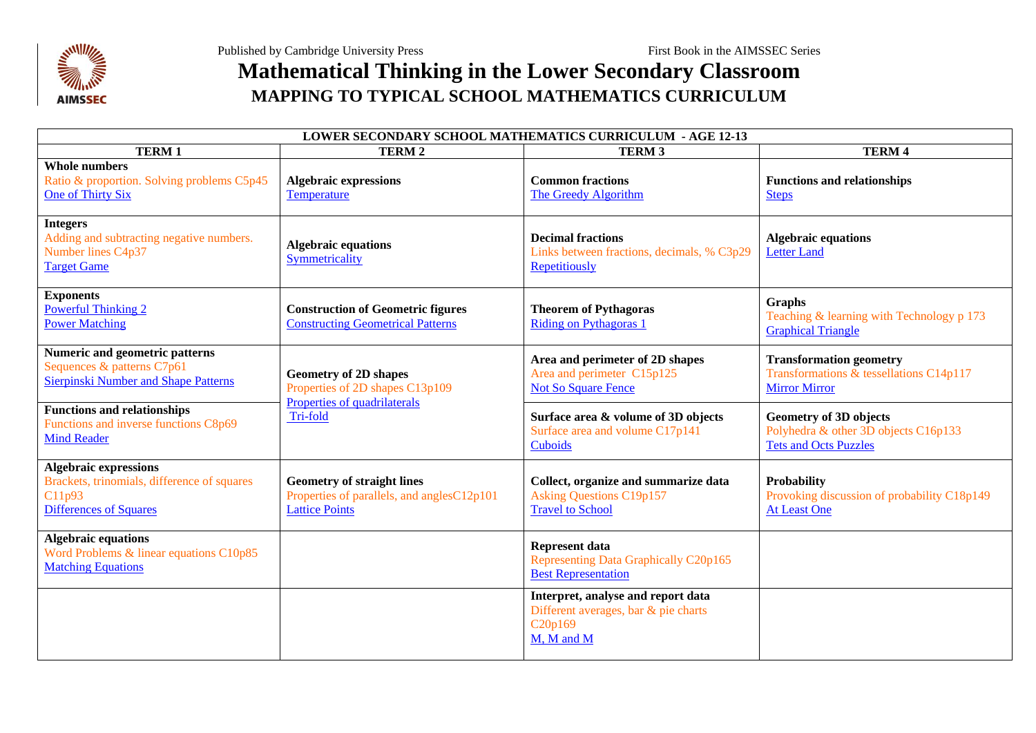

### **Mathematical Thinking in the Lower Secondary Classroom MAPPING TO TYPICAL SCHOOL MATHEMATICS CURRICULUM**

| <b>LOWER SECONDARY SCHOOL MATHEMATICS CURRICULUM - AGE 12-13</b>                                                       |                                                                                                             |                                                                                                                 |                                                                                                       |  |  |  |
|------------------------------------------------------------------------------------------------------------------------|-------------------------------------------------------------------------------------------------------------|-----------------------------------------------------------------------------------------------------------------|-------------------------------------------------------------------------------------------------------|--|--|--|
| <b>TERM1</b>                                                                                                           | <b>TERM2</b>                                                                                                | <b>TERM 3</b>                                                                                                   | <b>TERM4</b>                                                                                          |  |  |  |
| <b>Whole numbers</b><br>Ratio & proportion. Solving problems C5p45<br>One of Thirty Six                                | <b>Algebraic expressions</b><br><b>Temperature</b>                                                          | <b>Common fractions</b><br>The Greedy Algorithm                                                                 | <b>Functions and relationships</b><br><b>Steps</b>                                                    |  |  |  |
| <b>Integers</b><br>Adding and subtracting negative numbers.<br>Number lines C4p37<br><b>Target Game</b>                | <b>Algebraic equations</b><br>Symmetricality                                                                | <b>Decimal fractions</b><br>Links between fractions, decimals, % C3p29<br>Repetitiously                         | <b>Algebraic equations</b><br><b>Letter Land</b>                                                      |  |  |  |
| <b>Exponents</b><br><b>Powerful Thinking 2</b><br><b>Power Matching</b>                                                | <b>Construction of Geometric figures</b><br><b>Constructing Geometrical Patterns</b>                        | <b>Theorem of Pythagoras</b><br><b>Riding on Pythagoras 1</b>                                                   | <b>Graphs</b><br>Teaching & learning with Technology p 173<br><b>Graphical Triangle</b>               |  |  |  |
| <b>Numeric and geometric patterns</b><br>Sequences & patterns C7p61<br>Sierpinski Number and Shape Patterns            | <b>Geometry of 2D shapes</b><br>Properties of 2D shapes C13p109<br>Properties of quadrilaterals<br>Tri-fold | Area and perimeter of 2D shapes<br>Area and perimeter C15p125<br><b>Not So Square Fence</b>                     | <b>Transformation geometry</b><br>Transformations & tessellations C14p117<br><b>Mirror Mirror</b>     |  |  |  |
| <b>Functions and relationships</b><br>Functions and inverse functions C8p69<br><b>Mind Reader</b>                      |                                                                                                             | Surface area & volume of 3D objects<br>Surface area and volume C17p141<br>Cuboids                               | <b>Geometry of 3D objects</b><br>Polyhedra & other 3D objects C16p133<br><b>Tets and Octs Puzzles</b> |  |  |  |
| <b>Algebraic expressions</b><br>Brackets, trinomials, difference of squares<br>C11p93<br><b>Differences of Squares</b> | <b>Geometry of straight lines</b><br>Properties of parallels, and anglesC12p101<br><b>Lattice Points</b>    | Collect, organize and summarize data<br><b>Asking Questions C19p157</b><br><b>Travel to School</b>              | <b>Probability</b><br>Provoking discussion of probability C18p149<br><b>At Least One</b>              |  |  |  |
| <b>Algebraic equations</b><br>Word Problems & linear equations C10p85<br><b>Matching Equations</b>                     |                                                                                                             | <b>Represent data</b><br>Representing Data Graphically C20p165<br><b>Best Representation</b>                    |                                                                                                       |  |  |  |
|                                                                                                                        |                                                                                                             | Interpret, analyse and report data<br>Different averages, bar & pie charts<br>C <sub>20p169</sub><br>M, M and M |                                                                                                       |  |  |  |